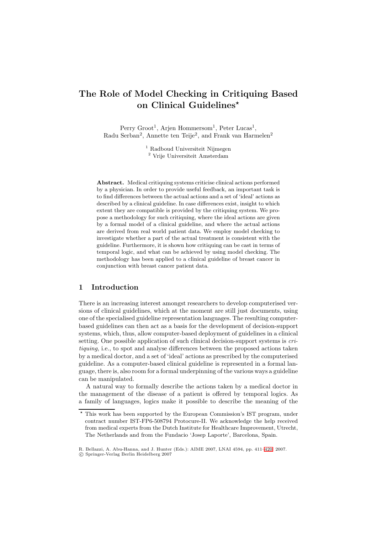# **The Role of Model Checking in Critiquing Based on Clinical Guidelines***-*

Perry Groot<sup>1</sup>, Arjen Hommersom<sup>1</sup>, Peter Lucas<sup>1</sup>, Radu Serban<sup>2</sup>, Annette ten Teije<sup>2</sup>, and Frank van Harmelen<sup>2</sup>

> <sup>1</sup> Radboud Universiteit Nijmegen <sup>2</sup> Vrije Universiteit Amsterdam

**Abstract.** Medical critiquing systems criticise clinical actions performed by a physician. In order to provide useful feedback, an important task is to find differences between the actual actions and a set of 'ideal' actions as described by a clinical guideline. In case differences exist, insight to which extent they are compatible is provided by the critiquing system. We propose a methodology for such critiquing, where the ideal actions are given by a formal model of a clinical guideline, and where the actual actions are derived from real world patient data. We employ model checking to investigate whether a part of the actual treatment is consistent with the guideline. Furthermore, it is shown how critiquing can be cast in terms of temporal logic, and what can be achieved by using model checking. The methodology has been applied to a clinical guideline of breast cancer in conjunction with breast cancer patient data.

# **1 Introduction**

There is an increasing interest amongst researchers to develop computerised versions of clinical guidelines, which at the moment are still just documents, using one of the specialised guideline representation languages. The resulting computerbased guidelines can then act as a basis for the development of decision-support systems, which, thus, allow computer-based deployment of guidelines in a clinical setting. One possible application of such clinical decision-support systems is critiquing, i.e., to spot and analyse differences between the proposed actions taken by a medical doctor, and a set of 'ideal' actions as prescribed by the computerised guideline. As a computer-based clinical guideline is represented in a formal language, there is, also room for a formal underpinning of the various ways a guideline can be manipulated.

A natural way to formally describe the actions taken by a medical doctor in the management of the disease of a patient is offered by temporal logics. As a family of languages, logics make it possible to describe the meaning of the

*<sup>-</sup>* This work has been supported by the European Commission's IST program, under contract number IST-FP6-508794 Protocure-II. We acknowledge the help received from medical experts from the Dutch Institute for Healthcare Improvement, Utrecht, The Netherlands and from the Fundacio 'Josep Laporte', Barcelona, Spain.

R. Bellazzi, A. Abu-Hanna, and J. Hunter (Eds.): AIME 2007, LNAI 4594, pp. 411–420, 2007.

<sup>-</sup>c Springer-Verlag Berlin Heidelberg 2007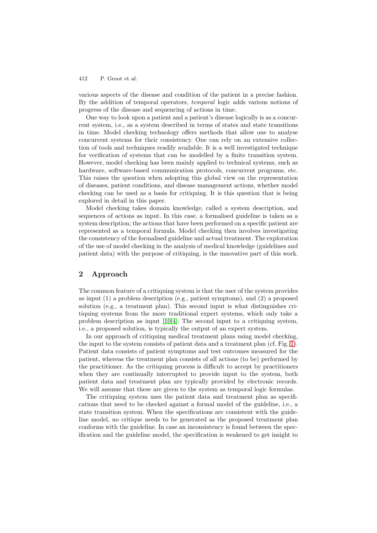various aspects of the disease and condition of the patient in a precise fashion. By the addition of temporal operators, temporal logic adds various notions of progress of the disease and sequencing of actions in time.

One way to look upon a patient and a patient's disease logically is as a concurrent system, i.e., as a system described in terms of states and state transitions in time. Model checking technology offers methods that allow one to analyse concurrent systems for their consistency. One can rely on an extensive collection of tools and techniques readily available. It is a well investigated technique for verification of systems that can be modelled by a finite transition system. However, model checking has been mainly applied to technical systems, such as hardware, software-based communication protocols, concurrent programs, etc. This raises the question when adopting this global view on the representation of diseases, patient conditions, and disease management actions, whether model checking can be used as a basis for critiquing. It is this question that is being explored in detail in this paper.

Model checking takes domain knowledge, called a system description, and sequences of actions as input. In this case, a formalised guideline is taken as a system description; the actions that have been performed on a specific patient are represented as a temporal formula. Model checking then involves investigating the consistency of the formalised guideline and actual treatment. The exploration of the use of model checking in the analysis of medical knowledge (guidelines and patient data) with the purpose of critiquing, is the innovative part of this work.

# **2 Approach**

The common feature of a critiquing system is that the user of the system provides as input (1) a problem description (e.g., patient symptoms), and (2) a proposed solution (e.g., a treatment plan). This second input is what distinguishes critiquing systems from the more traditional expert systems, which only take a problem description as input [10,4]. The second input to a critiquing system, i.e., a proposed solution, is typically the output of an expert system.

In our approach of critiquing medical treatment plans using model checking, the input to the system consists of patient data and a treatment plan (cf. Fig. 1). Patient data consists of patie[nt s](#page-9-0)[ym](#page-9-1)ptoms and test outcomes measured for the patient, whereas the treatment plan consists of all actions (to be) performed by the practitioner. As the critiquing process is difficult to accept by practitioners when they are continually interrupted to provide input to the system, b[ot](#page-2-0)h patient data and treatment plan are typically provided by electronic records. We will assume that these are given to the system as temporal logic formulas.

The critiquing system uses the patient data and treatment plan as specifications that need to be checked against a formal model of the guideline, i.e., a state transition system. When the specifications are consistent with the guideline model, no critique needs to be generated as the proposed treatment plan conforms with the guideline. In case an inconsistency is found between the specification and the guideline model, the specification is weakened to get insight to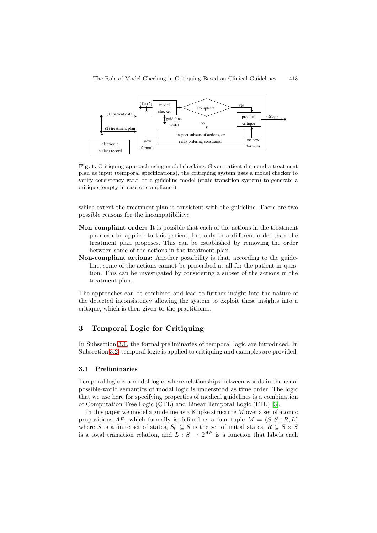

**Fig. 1.** Critiquing approach using model checking. Given patient data and a treatment plan as input (temporal specifications), the critiquing system uses a model checker to verify consistency w.r.t. to a guideline model (state transition system) to generate a critique (empty in case of compliance).

<span id="page-2-0"></span>which extent the treatment plan is consistent with the guideline. There are two possible reasons for the incompatibility:

- **Non-compliant order:** It is possible that each of the actions in the treatment plan can be applied to this patient, but only in a different order than the treatment plan proposes. This can be established by removing the order between some of the actions in the treatment plan.
- **Non-compliant actions:** Another possibility is that, according to the guideline, some of the actions cannot be prescribed at all for the patient in question. This can be investigated by considering a subset of the actions in the treatment plan.

The approaches can be combined and lead to further insight into the nature of the detected inconsistency allowing the system to exploit these insights into a critique, which is then given to the practitioner.

# **3 Temporal Logic for Critiquing**

<span id="page-2-1"></span>In Subsection 3.1, the formal preliminaries of temporal logic are introduced. In Subsection 3.2, temporal logic is applied to critiquing and examples are provided.

#### **3.1 Preliminaries**

Temporal l[ogic](#page-4-0) is a modal logic, where relationships between worlds in the usual possible-world semantics of modal logic is understood as time order. The logic that we use here for specifying properties of medical guidelines is a combination of Computation Tree Logic (CTL) and Linear Temporal Logic (LTL) [3].

In this paper we model a guideline as a Kripke structure M over a set of atomic propositions AP, which formally is defined as a four tuple  $M = (S, S_0, R, L)$ where S is a finite set of states,  $S_0 \subseteq S$  is the set of initial states,  $R \subseteq S \times S$ is a total transition relation, and  $L : S \to 2^{AP}$  is a function that la[be](#page-9-2)ls each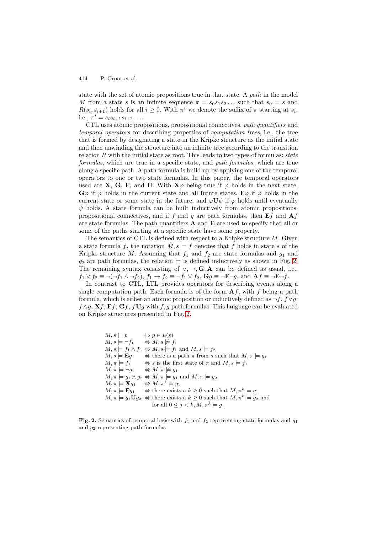state with the set of atomic propositions true in that state. A path in the model M from a state s is an infinite sequence  $\pi = s_0 s_1 s_2 \dots$  such that  $s_0 = s$  and  $R(s_i, s_{i+1})$  holds for all  $i \geq 0$ . With  $\pi^i$  we denote the suffix of  $\pi$  starting at  $s_i$ , i.e.,  $\pi^i = s_i s_{i+1} s_{i+2} \ldots$ 

CTL uses atomic propositions, propositional connectives, path quantifiers and temporal operators for describing properties of computation trees, i.e., the tree that is formed by designating a state in the Kripke structure as the initial state and then unwinding the structure into an infinite tree according to the transition relation R with the initial state as root. This leads to two types of formulas:  $state$ formulas, which are true in a specific state, and path formulas, which are true along a specific path. A path formula is build up by applying one of the temporal operators to one or two state formulas. In this paper, the temporal operators used are **X**, **G**, **F**, and **U**. With  $\mathbf{X}\varphi$  being true if  $\varphi$  holds in the next state,  $\mathbf{G}\varphi$  if  $\varphi$  holds in the current state and all future states,  $\mathbf{F}\varphi$  if  $\varphi$  holds in the current state or some state in the future, and  $\varphi \mathbf{U}\psi$  if  $\varphi$  holds until eventually  $\psi$  holds. A state formula can be built inductively from atomic propositions, propositional connectives, and if f and g are path formulas, then  $Ef$  and  $Af$ are state formulas. The path quantifiers **A** and **E** are used to specify that all or some of the paths starting at a specific state have some property.

The semantics of CTL is defined with respect to a Kripke structure  $M$ . Given a state formula f, the notation  $M, s \models f$  denotes that f holds in state s of the Kripke structure M. Assuming that  $f_1$  and  $f_2$  are state formulas and  $g_1$  and  $g_2$  are path formulas, the relation  $\models$  is defined inductively as shown in Fig. 2. The remaining syntax consisting of  $\vee, \rightarrow, G, A$  can be defined as usual, i.e.,  $f_1 \vee f_2 \equiv \neg(\neg f_1 \wedge \neg f_2), f_1 \rightarrow f_2 \equiv \neg f_1 \vee f_2, \mathbf{G}g \equiv \neg \mathbf{F} \neg g, \text{ and } \mathbf{A}f \equiv \neg \mathbf{E} \neg f.$ 

In contrast to CTL, LTL provides operators for describing events along a single computation pa[th](#page-3-0). Each formula is of the form  $\mathbf{A}f$ , with f being a path formula, which is either an atomic proposition or inductively defined as  $\neg f$ ,  $f \vee g$ , f ∧g, **X**f, **F**f, **G**f, f**U**g with f,g path formulas. This language can be evaluated on Kripke structures presented in Fig. 2.

> $M, s \models p \qquad \Leftrightarrow p \in L(s)$  $M, s \models \neg f_1 \qquad \Leftrightarrow M, s \not\models f_1$  $M, s \models f_1 \land f_2 \Leftrightarrow M, s \models f_1 \text{ and } M, s \models f_2$  $M, s \models f_1 \land f_2 \Leftrightarrow M, s \models f_1 \text{ and } M, s \models f_2$  $M, s \models f_1 \land f_2 \Leftrightarrow M, s \models f_1 \text{ and } M, s \models f_2$  $M, s \models \mathbf{E} g_1 \Leftrightarrow$  there is a path  $\pi$  from s such that  $M, \pi \models g_1$  $M, \pi \models f_1 \qquad \Leftrightarrow s$  is the first state of  $\pi$  and  $M, s \models f_1$  $M, \pi \models \neg g_1 \quad \Leftrightarrow M, \pi \not\models g_1$  $M, \pi \models g_1 \land g_2 \Leftrightarrow M, \pi \models g_1 \text{ and } M, \pi \models g_2$  $M, \pi \models \mathbf{X} g_1 \stackrel{\sim}{\Leftrightarrow} M, \pi^1 \models g_1$  $M, \pi \models \mathbf{F}g_1 \Leftrightarrow$  there exists a  $k \geq 0$  such that  $M, \pi^k \models g_1$  $M, \pi \models g_1 \mathbf{U} g_2 \Leftrightarrow$  there exists a  $k \geq 0$  such that  $M, \pi^k \models g_2$  and for all  $0 \leq j \leq k, M, \pi^j \models g_1$

<span id="page-3-0"></span>**Fig. 2.** Semantics of temporal logic with  $f_1$  and  $f_2$  representing state formulas and  $g_1$ and  $g_2$  representing path formulas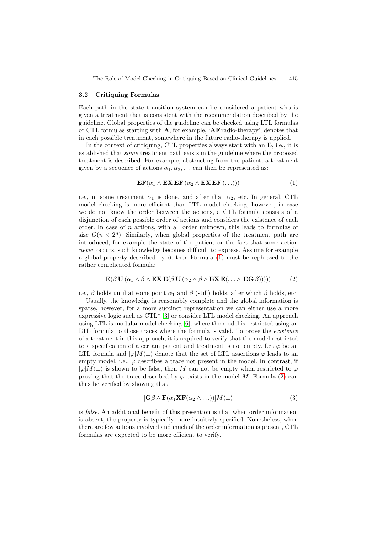#### **3.2 Critiquing Formulas**

<span id="page-4-0"></span>Each path in the state transition system can be considered a patient who is given a treatment that is consistent with the recommendation described by the guideline. Global properties of the guideline can be checked using LTL formulas or CTL formulas starting with **A**, for example, '**AF** radio-therapy', denotes that in each possible treatment, somewhere in the future radio-therapy is applied.

In the context of critiquing, CTL properties always start with an **E**, i.e., it is established that some treatment path exists in the guideline where the proposed treatment is described. For example, abstracting from the patient, a treatment given by a sequence of actions  $\alpha_1, \alpha_2, \ldots$  can then be represented as:

$$
\mathbf{EF}(\alpha_1 \wedge \mathbf{EX}\,\mathbf{EF}\,(\alpha_2 \wedge \mathbf{EX}\,\mathbf{EF}\,(\ldots)))\tag{1}
$$

<span id="page-4-1"></span>i.e., in some treatment  $\alpha_1$  is done, and after that  $\alpha_2$ , etc. In general, CTL model checking is more efficient than LTL model checking, however, in case we do not know the order between the actions, a CTL formula consists of a disjunction of each possible order of actions and considers the existence of each order. In case of  $n$  actions, with all order unknown, this leads to formulas of size  $O(n \times 2^n)$ . Similarly, when global properties of the treatment path are introduced, for example the state of the patient or the fact that some action never occurs, such knowledge becomes difficult to express. Assume for example a global property described by  $\beta$ , then Formula (1) must be rephrased to the rather complicated formula:

$$
\mathbf{E}(\beta \mathbf{U}(\alpha_1 \wedge \beta \wedge \mathbf{EX} \mathbf{E}(\beta \mathbf{U}(\alpha_2 \wedge \beta \wedge \mathbf{EX} \mathbf{E}(\dots \wedge \mathbf{EG} \beta))))
$$
 (2)

i.e.,  $\beta$  h[old](#page-4-1)s until at some point  $\alpha_1$  and  $\beta$  (still) holds, after which  $\beta$  holds, etc.

<span id="page-4-2"></span>Usually, the knowledge is reasonably complete and the global information is sparse, however, for a more succinct representation we can either use a more expressive logic such as CTL<sup>∗</sup> [3] or consider LTL model checking. An approach using LTL is modular model checking [6], where the model is restricted using an LTL formula to those traces where the formula is valid. To prove the existence of a treatment in this approach, it is required to verify that the model restricted to a specification of a certain [pa](#page-9-2)tient and treatment is not empty. Let  $\varphi$  be an LTL formula and  $[\varphi]M\langle \perp \rangle$  denote th[at](#page-9-3) the set of LTL assertions  $\varphi$  leads to an empty model, i.e.,  $\varphi$  describes a trace not present in the model. In contrast, if  $[\varphi]M\langle\perp\rangle$  is shown to be false, then M can not be empty when restricted to  $\varphi$ proving that the trace described by  $\varphi$  exists in the model M. Formula (2) can thus be verified by showing that

$$
[\mathbf{G}\beta \wedge \mathbf{F}(\alpha_1 \mathbf{X}\mathbf{F}(\alpha_2 \wedge \ldots))]M\langle \perp \rangle \tag{3}
$$

is false. An additional benefit of this presention is that when order infor[ma](#page-4-2)tion is absent, the property is typically more intuitivly specified. Nonetheless, when there are few actions involved and much of the order information is present, CTL formulas are expected to be more efficient to verify.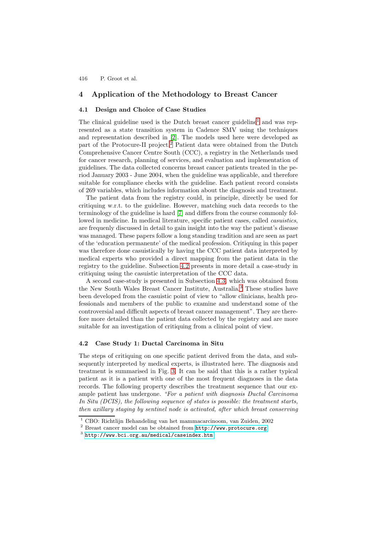# **4 Application of the Methodology to Breast Cancer**

#### **4.1 Design and Choice of Case Studies**

The clinical guideline used is the Dutch breast cancer guideline<sup>1</sup> and was represented as a state transition system in Cadence SMV using the techniques and representation described in [2]. The models used here were developed as part of the Protocure-II project.<sup>2</sup> Patient data were obtained from the Dutch Comprehensive Cancer Centre South (CCC), a registry in the N[et](#page-5-0)herlands used for cancer research, planning of services, and evaluation and implementation of guidelines. The data collected co[nce](#page-9-4)rns breast cancer patients treated in the period January 2003 - June 2004, [wh](#page-5-1)en the guideline was applicable, and therefore suitable for compliance checks with the guideline. Each patient record consists of 269 variables, which includes information about the diagnosis and treatment.

The patient data from the registry could, in principle, directly be used for critiquing w.r.t. to the guideline. However, matching such data records to the terminology of the guideline is hard [7] and differs from the course commonly followed in medicine. In medical literature, specific patient cases, called *casuistics*, are frequenly discussed in detail to gain insight into the way the patient's disease was managed. These papers follow a long standing tradition and are seen as part of the 'education permanente' of the [m](#page-9-5)edical profession. Critiquing in this paper was therefore done casuistically by having the CCC patient data interpreted by medical experts who provided a direct mapping from the patient data in the registry to the guideline. Subsection 4.2 presents in more detail a case-study in critiquing using the casuistic interpretation of the CCC data.

A second case-study is presented in Subsection 4.3, which was obtained from the New South Wales Breast Cancer Institute, Australia.<sup>3</sup> These studies have been developed from the casuistic p[oint](#page-5-2) of view to "allow clinicians, health professionals and members of the public to examine and understand some of the controversial and difficult aspects of breast cancer [man](#page-6-0)agement". They are therefore more detailed than the patient data collected by the [re](#page-5-3)gistry and are more suitable for an investigation of critiquing from a clinical point of view.

#### **4.2 Case Study 1: Ductal Carcinoma in Situ**

<span id="page-5-2"></span>The steps of critiquing on one specific patient derived from the data, and subsequently interpreted by medical experts, is illustrated here. The diagnosis and treatment is summarised in Fig. 3. It can be said that this is a rather typical patient as it is a patient with one of the most frequent diagnoses in the data records. The following property describes the treatment sequence that our example patient has undergone. "For a patient with diagnosis Ductal Carcinoma In Situ (DCIS), the following seq[uen](#page-6-1)ce of states is possible: the treatment starts, then axillary staging by sentinel node is activated, after which breast conserving

 $^{\rm 1}$  CBO: Richtlijn Behandeling van het mammacarcinoom, van Zuiden, 2002

 $^2$  Breast cancer model can be obtained from  $\mathtt{http://www.protocure.org}$ 

<span id="page-5-3"></span><span id="page-5-1"></span><span id="page-5-0"></span> $3$  http://www.bci.org.au/medical/caseindex.htm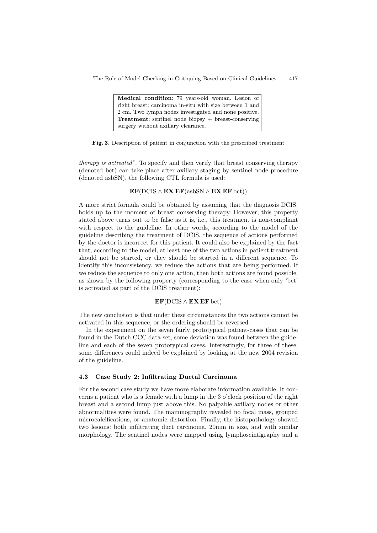**Medical condition**: 79 years-old woman. Lesion of right breast: carcinoma in-situ with size between 1 and 2 cm. Two lymph nodes investigated and none positive. **Treatment**: sentinel node biopsy + breast-conserving surgery without axillary clearance.

#### **Fig. 3.** Description of patient in conjunction with the prescribed treatment

<span id="page-6-1"></span>therapy is activated". To specify and then verify that breast conserving therapy (denoted bct) can take place after axillary staging by sentinel node procedure (denoted asbSN), the following CTL formula is used:

#### $EF(DCIS \wedge EX EF(asbSN \wedge EX EF bct))$

A more strict formula could be obtained by assuming that the diagnosis DCIS, holds up to the moment of breast conserving therapy. However, this property stated above turns out to be false as it is, i.e., this treatment is non-compliant with respect to the guideline. In other words, according to the model of the guideline describing the treatment of DCIS, the sequence of actions performed by the doctor is incorrect for this patient. It could also be explained by the fact that, according to the model, at least one of the two actions in patient treatment should not be started, or they should be started in a different sequence. To identify this inconsistency, we reduce the actions that are being performed. If we reduce the sequence to only one action, then both actions are found possible, as shown by the following property (corresponding to the case when only 'bct' is activated as part of the DCIS treatment):

### **EF**(DCIS ∧ **EX EF** bct)

The new conclusion is that under these circumstances the two actions cannot be activated in this sequence, or the ordering should be reversed.

In the experiment on the seven fairly prototypical patient-cases that can be found in the Dutch CCC data-set, some deviation was found between the guideline and each of the seven prototypical cases. Interestingly, for three of these, some differences could indeed be explained by looking at the new 2004 revision of the guideline.

# <span id="page-6-0"></span>**4.3 Case Study 2: Infiltrating Ductal Carcinoma**

For the second case study we have more elaborate information available. It concerns a patient who is a female with a lump in the 3 o'clock position of the right breast and a second lump just above this. No palpable axillary nodes or other abnormalities were found. The mammography revealed no focal mass, grouped microcalcifications, or anatomic distortion. Finally, the histopathology showed two lesions: both infiltrating duct carcinoma, 20mm in size, and with similar morphology. The sentinel nodes were mapped using lymphoscintigraphy and a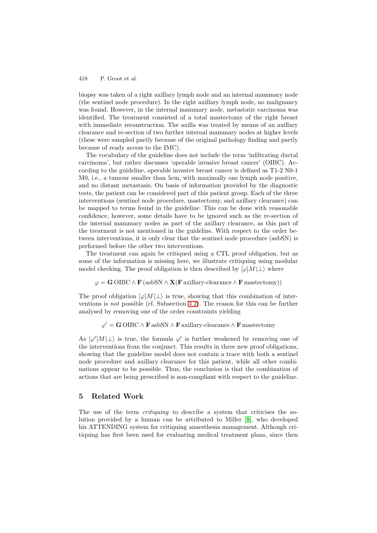biopsy was taken of a right axillary lymph node and an internal mammary node (the sentinel node procedure). In the right axillary lymph node, no malignancy was found. However, in the internal mammary node, metastatic carcinoma was identified. The treatment consisted of a total mastectomy of the right breast with immediate reconstruction. The axilla was treated by means of an axillary clearance and re-section of two further internal mammary nodes at higher levels (these were sampled partly because of the original pathology finding and partly because of ready access to the IMC).

The vocabulary of the guideline does not include the term 'infiltrating ductal carcinoma', but rather discusses 'operable invasive breast cancer' (OIBC). According to the guideline, operable invasive breast cancer is defined as T1-2 N0-1 M0, i.e., a tumour smaller than 5cm, with maximally one lymph node positive, and no distant metastasis. On basis of information provided by the diagnostic tests, the patient can be considered part of this patient group. Each of the three interventions (sentinel node procedure, mastectomy, and axillary clearance) can be mapped to terms found in the guideline. This can be done with reasonable confidence, however, some details have to be ignored such as the re-section of the internal mammary nodes as part of the axillary clearance, as this part of the treatment is not mentioned in the guideline. With respect to the order between interventions, it is only clear that the sentinel node procedure (asbSN) is performed before the other two interventions.

The treatment can again be critiqued using a CTL proof obligation, but as some of the information is missing here, we illustrate critiquing using modular model checking. The proof obligation is then described by  $[\varphi]M\langle\perp\rangle$  where

 $\varphi = \mathbf{G}$  OIBC  $\wedge$  **F** (asbSN  $\wedge$  **X**(**F** axillary-clearance  $\wedge$  **F** mastectomy))

The proof obligation  $[\varphi]M\langle \perp \rangle$  is true, showing that this combination of interventions is not possible (cf. Subsection 3.2). The reason for this can be further analysed by removing one of the order constraints yielding

```
ϕ = G OIBC ∧ F asbSN ∧ F axillary-clearance ∧ F mastectomy
```
A[s](#page-4-0)  $[\varphi']M\langle\perp\rangle$  is true, the formula  $\varphi'$  is [fu](#page-4-0)rther weakened by removing one of the interventions from the conjunct. This results in three new proof obligations, showing that the guideline model does not contain a trace with both a sentinel node procedure and axillary clearance for this patient, while all other combinations appear to be possible. Thus, the conclusion is that the combination of actions that are being prescribed is non-compliant with respect to the guideline.

# **5 Related Work**

The use of the term *critiquing* to describe a system that criticises the solution provided by a human can be attributed to Miller [8], who developed his ATTENDING system for critiquing anaesthesia management. Although critiquing has first been used for evaluating medical treatment plans, since then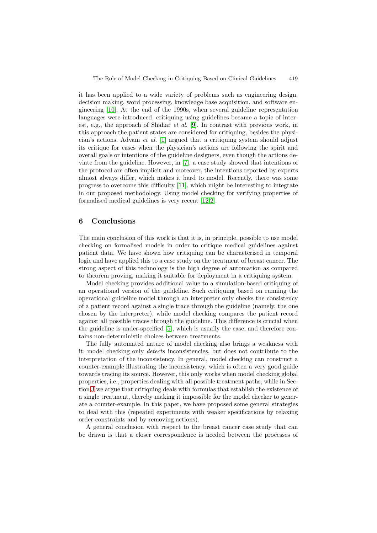it has been applied to a wide variety of problems such as engineering design, decision making, word processing, knowledge base acquisition, and software engineering [10]. At the end of the 1990s, when several guideline representation languages were introduced, critiquing using guidelines became a topic of interest, e.g., the approach of Shahar *et al.* [9]. In contrast with previous work, in this approach the patient states are considered for critiquing, besides the physician's acti[ons](#page-9-0). Advani et al. [1] argued that a critiquing system should adjust its critique for cases when the physician's actions are following the spirit and overall goals or intentions of the guidelin[e d](#page-9-6)esigners, even though the actions deviate from the guideline. However, in [7], a case study showed that intentions of the protocol are often implici[t a](#page-9-7)nd moreover, the intentions reported by experts almost always differ, which makes it hard to model. Recently, there was some progress to overcome this difficulty [11], which might be interesting to integrate in our proposed methodology. Using [mo](#page-9-5)del checking for verifying properties of formalised medical guidelines is very recent [12,2].

### **6 Conclusions**

The main conclusion of this work is that it is, in principle, possible to use model checking on formalised models in order to critique medical guidelines against patient data. We have shown how critiquing can be characterised in temporal logic and have applied this to a case study on the treatment of breast cancer. The strong aspect of this technology is the high degree of automation as compared to theorem proving, making it suitable for deployment in a critiquing system.

Model checking provides additional value to a simulation-based critiquing of an operational version of the guideline. Such critiquing based on running the operational guideline model through an interpreter only checks the consistency of a patient record against a single trace through the guideline (namely, the one chosen by the interpreter), while model checking compares the patient record against all possible traces through the guideline. This difference is crucial when the guideline is under-specified [5], which is usually the case, and therefore contains non-deterministic choices between treatments.

The fully automated nature of model checking also brings a weakness with it: model checking only detects inconsistencies, but does not contribute to the interpretation of the inconsiste[ncy](#page-9-8). In general, model checking can construct a counter-example illustrating the inconsistency, which is often a very good guide towards tracing its source. However, this only works when model checking global properties, i.e., properties dealing with all possible treatment paths, while in Section 3 we argue that critiquing deals with formulas that establish the existence of a single treatment, thereby making it impossible for the model checker to generate a counter-example. In this paper, we have proposed some general strategies to deal with this (repeated experiments with weaker specifications by relaxing ord[er](#page-2-1) constraints and by removing actions).

A general conclusion with respect to the breast cancer case study that can be drawn is that a closer correspondence is needed between the processes of